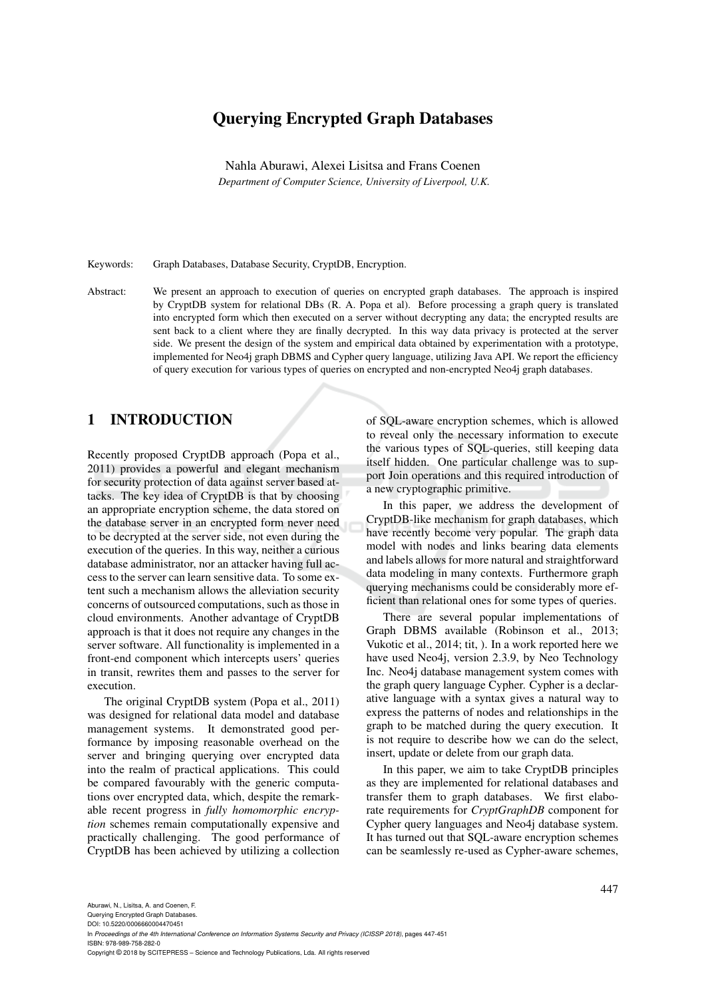# Querying Encrypted Graph Databases

Nahla Aburawi, Alexei Lisitsa and Frans Coenen *Department of Computer Science, University of Liverpool, U.K.*

Keywords: Graph Databases, Database Security, CryptDB, Encryption.

Abstract: We present an approach to execution of queries on encrypted graph databases. The approach is inspired by CryptDB system for relational DBs (R. A. Popa et al). Before processing a graph query is translated into encrypted form which then executed on a server without decrypting any data; the encrypted results are sent back to a client where they are finally decrypted. In this way data privacy is protected at the server side. We present the design of the system and empirical data obtained by experimentation with a prototype, implemented for Neo4j graph DBMS and Cypher query language, utilizing Java API. We report the efficiency of query execution for various types of queries on encrypted and non-encrypted Neo4j graph databases.

# 1 INTRODUCTION

Recently proposed CryptDB approach (Popa et al., 2011) provides a powerful and elegant mechanism for security protection of data against server based attacks. The key idea of CryptDB is that by choosing an appropriate encryption scheme, the data stored on the database server in an encrypted form never need to be decrypted at the server side, not even during the execution of the queries. In this way, neither a curious database administrator, nor an attacker having full access to the server can learn sensitive data. To some extent such a mechanism allows the alleviation security concerns of outsourced computations, such as those in cloud environments. Another advantage of CryptDB approach is that it does not require any changes in the server software. All functionality is implemented in a front-end component which intercepts users' queries in transit, rewrites them and passes to the server for execution.

The original CryptDB system (Popa et al., 2011) was designed for relational data model and database management systems. It demonstrated good performance by imposing reasonable overhead on the server and bringing querying over encrypted data into the realm of practical applications. This could be compared favourably with the generic computations over encrypted data, which, despite the remarkable recent progress in *fully homomorphic encryption* schemes remain computationally expensive and practically challenging. The good performance of CryptDB has been achieved by utilizing a collection

of SQL-aware encryption schemes, which is allowed to reveal only the necessary information to execute the various types of SQL-queries, still keeping data itself hidden. One particular challenge was to support Join operations and this required introduction of a new cryptographic primitive.

In this paper, we address the development of CryptDB-like mechanism for graph databases, which have recently become very popular. The graph data model with nodes and links bearing data elements and labels allows for more natural and straightforward data modeling in many contexts. Furthermore graph querying mechanisms could be considerably more efficient than relational ones for some types of queries.

There are several popular implementations of Graph DBMS available (Robinson et al., 2013; Vukotic et al., 2014; tit, ). In a work reported here we have used Neo4j, version 2.3.9, by Neo Technology Inc. Neo4j database management system comes with the graph query language Cypher. Cypher is a declarative language with a syntax gives a natural way to express the patterns of nodes and relationships in the graph to be matched during the query execution. It is not require to describe how we can do the select, insert, update or delete from our graph data.

In this paper, we aim to take CryptDB principles as they are implemented for relational databases and transfer them to graph databases. We first elaborate requirements for *CryptGraphDB* component for Cypher query languages and Neo4j database system. It has turned out that SQL-aware encryption schemes can be seamlessly re-used as Cypher-aware schemes,

DOI: 10.5220/0006660004470451 In *Proceedings of the 4th International Conference on Information Systems Security and Privacy (ICISSP 2018)*, pages 447-451 ISBN: 978-989-758-282-0

Copyright © 2018 by SCITEPRESS – Science and Technology Publications, Lda. All rights reserved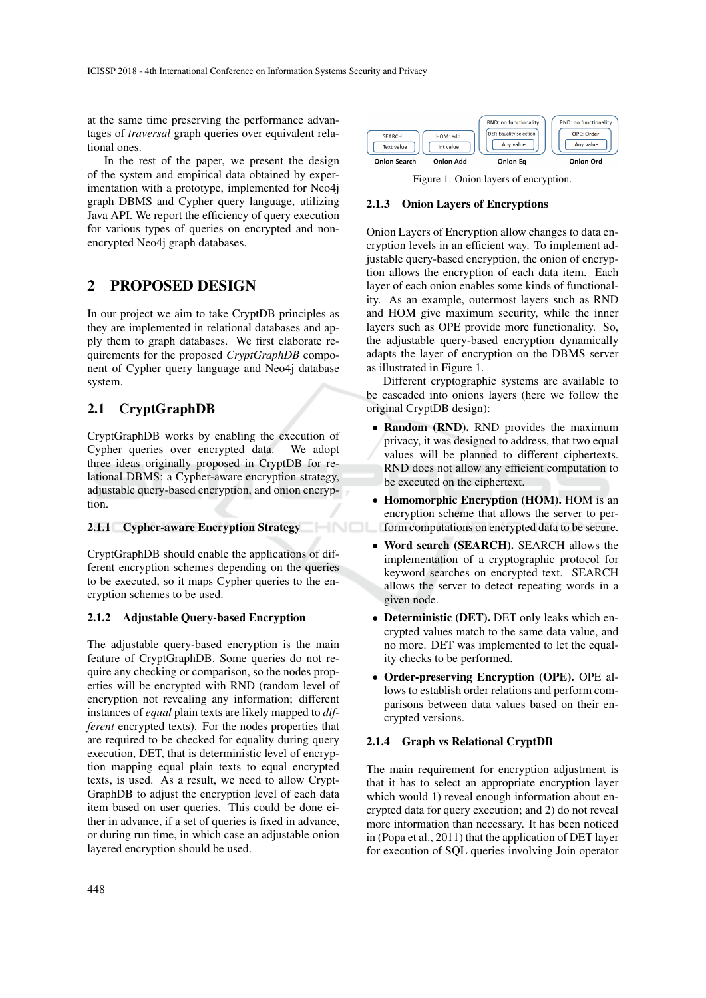at the same time preserving the performance advantages of *traversal* graph queries over equivalent relational ones.

In the rest of the paper, we present the design of the system and empirical data obtained by experimentation with a prototype, implemented for Neo4j graph DBMS and Cypher query language, utilizing Java API. We report the efficiency of query execution for various types of queries on encrypted and nonencrypted Neo4j graph databases.

# 2 PROPOSED DESIGN

In our project we aim to take CryptDB principles as they are implemented in relational databases and apply them to graph databases. We first elaborate requirements for the proposed *CryptGraphDB* component of Cypher query language and Neo4j database system.

# 2.1 CryptGraphDB

CryptGraphDB works by enabling the execution of Cypher queries over encrypted data. We adopt three ideas originally proposed in CryptDB for relational DBMS: a Cypher-aware encryption strategy, adjustable query-based encryption, and onion encryption.

### 2.1.1 Cypher-aware Encryption Strategy

CryptGraphDB should enable the applications of different encryption schemes depending on the queries to be executed, so it maps Cypher queries to the encryption schemes to be used.

### 2.1.2 Adjustable Query-based Encryption

The adjustable query-based encryption is the main feature of CryptGraphDB. Some queries do not require any checking or comparison, so the nodes properties will be encrypted with RND (random level of encryption not revealing any information; different instances of *equal* plain texts are likely mapped to *different* encrypted texts). For the nodes properties that are required to be checked for equality during query execution, DET, that is deterministic level of encryption mapping equal plain texts to equal encrypted texts, is used. As a result, we need to allow Crypt-GraphDB to adjust the encryption level of each data item based on user queries. This could be done either in advance, if a set of queries is fixed in advance, or during run time, in which case an adjustable onion layered encryption should be used.



Figure 1: Onion layers of encryption.

#### 2.1.3 Onion Layers of Encryptions

Onion Layers of Encryption allow changes to data encryption levels in an efficient way. To implement adjustable query-based encryption, the onion of encryption allows the encryption of each data item. Each layer of each onion enables some kinds of functionality. As an example, outermost layers such as RND and HOM give maximum security, while the inner layers such as OPE provide more functionality. So, the adjustable query-based encryption dynamically adapts the layer of encryption on the DBMS server as illustrated in Figure 1.

Different cryptographic systems are available to be cascaded into onions layers (here we follow the original CryptDB design):

- Random (RND). RND provides the maximum privacy, it was designed to address, that two equal values will be planned to different ciphertexts. RND does not allow any efficient computation to be executed on the ciphertext.
- Homomorphic Encryption (HOM). HOM is an encryption scheme that allows the server to perform computations on encrypted data to be secure.
- Word search (SEARCH). SEARCH allows the implementation of a cryptographic protocol for keyword searches on encrypted text. SEARCH allows the server to detect repeating words in a given node.
- Deterministic (DET). DET only leaks which encrypted values match to the same data value, and no more. DET was implemented to let the equality checks to be performed.
- Order-preserving Encryption (OPE). OPE allows to establish order relations and perform comparisons between data values based on their encrypted versions.

### 2.1.4 Graph vs Relational CryptDB

The main requirement for encryption adjustment is that it has to select an appropriate encryption layer which would 1) reveal enough information about encrypted data for query execution; and 2) do not reveal more information than necessary. It has been noticed in (Popa et al., 2011) that the application of DET layer for execution of SQL queries involving Join operator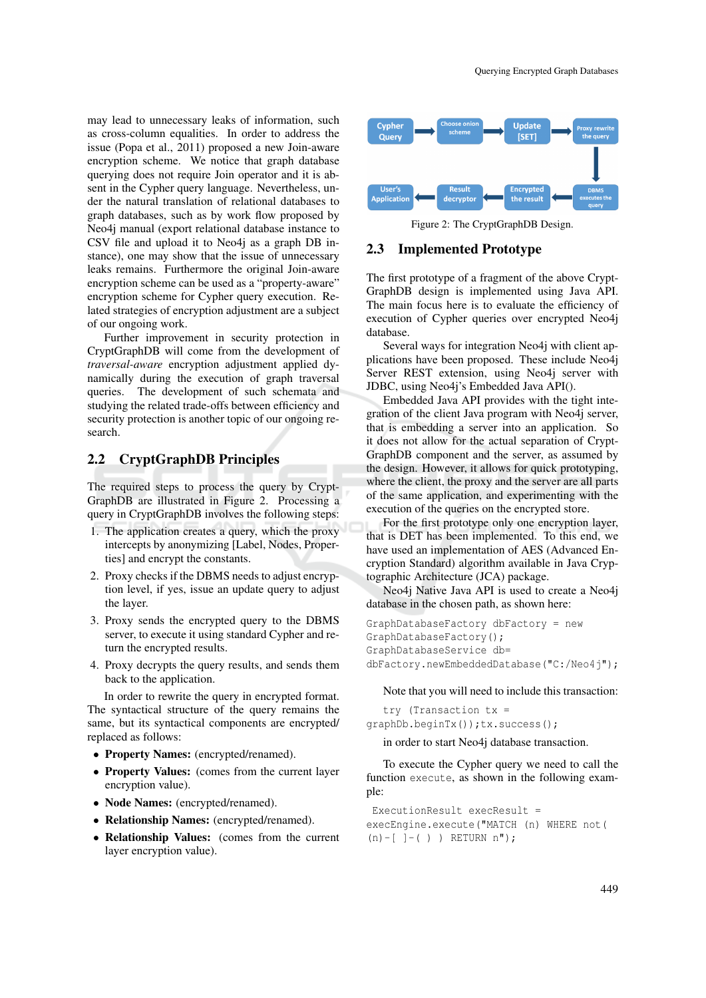may lead to unnecessary leaks of information, such as cross-column equalities. In order to address the issue (Popa et al., 2011) proposed a new Join-aware encryption scheme. We notice that graph database querying does not require Join operator and it is absent in the Cypher query language. Nevertheless, under the natural translation of relational databases to graph databases, such as by work flow proposed by Neo4j manual (export relational database instance to CSV file and upload it to Neo4j as a graph DB instance), one may show that the issue of unnecessary leaks remains. Furthermore the original Join-aware encryption scheme can be used as a "property-aware" encryption scheme for Cypher query execution. Related strategies of encryption adjustment are a subject of our ongoing work.

Further improvement in security protection in CryptGraphDB will come from the development of *traversal-aware* encryption adjustment applied dynamically during the execution of graph traversal queries. The development of such schemata and studying the related trade-offs between efficiency and security protection is another topic of our ongoing research.

## 2.2 CryptGraphDB Principles

The required steps to process the query by Crypt-GraphDB are illustrated in Figure 2. Processing a query in CryptGraphDB involves the following steps:

- 1. The application creates a query, which the proxy intercepts by anonymizing [Label, Nodes, Properties] and encrypt the constants.
- 2. Proxy checks if the DBMS needs to adjust encryption level, if yes, issue an update query to adjust the layer.
- 3. Proxy sends the encrypted query to the DBMS server, to execute it using standard Cypher and return the encrypted results.
- 4. Proxy decrypts the query results, and sends them back to the application.

In order to rewrite the query in encrypted format. The syntactical structure of the query remains the same, but its syntactical components are encrypted/ replaced as follows:

- Property Names: (encrypted/renamed).
- Property Values: (comes from the current layer encryption value).
- Node Names: (encrypted/renamed).
- Relationship Names: (encrypted/renamed).
- Relationship Values: (comes from the current layer encryption value).



Figure 2: The CryptGraphDB Design.

#### 2.3 Implemented Prototype

The first prototype of a fragment of the above Crypt-GraphDB design is implemented using Java API. The main focus here is to evaluate the efficiency of execution of Cypher queries over encrypted Neo4j database.

Several ways for integration Neo4j with client applications have been proposed. These include Neo4j Server REST extension, using Neo4j server with JDBC, using Neo4j's Embedded Java API().

Embedded Java API provides with the tight integration of the client Java program with Neo4j server, that is embedding a server into an application. So it does not allow for the actual separation of Crypt-GraphDB component and the server, as assumed by the design. However, it allows for quick prototyping, where the client, the proxy and the server are all parts of the same application, and experimenting with the execution of the queries on the encrypted store.

For the first prototype only one encryption layer, that is DET has been implemented. To this end, we have used an implementation of AES (Advanced Encryption Standard) algorithm available in Java Cryptographic Architecture (JCA) package.

Neo4j Native Java API is used to create a Neo4j database in the chosen path, as shown here:

```
GraphDatabaseFactory dbFactory = new
GraphDatabaseFactory();
GraphDatabaseService db=
dbFactory.newEmbeddedDatabase("C:/Neo4j");
```
Note that you will need to include this transaction:

try (Transaction tx = graphDb.beginTx());tx.success();

in order to start Neo4j database transaction.

To execute the Cypher query we need to call the function execute, as shown in the following example:

```
ExecutionResult execResult =
execEngine.execute("MATCH (n) WHERE not(
(n)-[ -(-) ) RETURN n");
```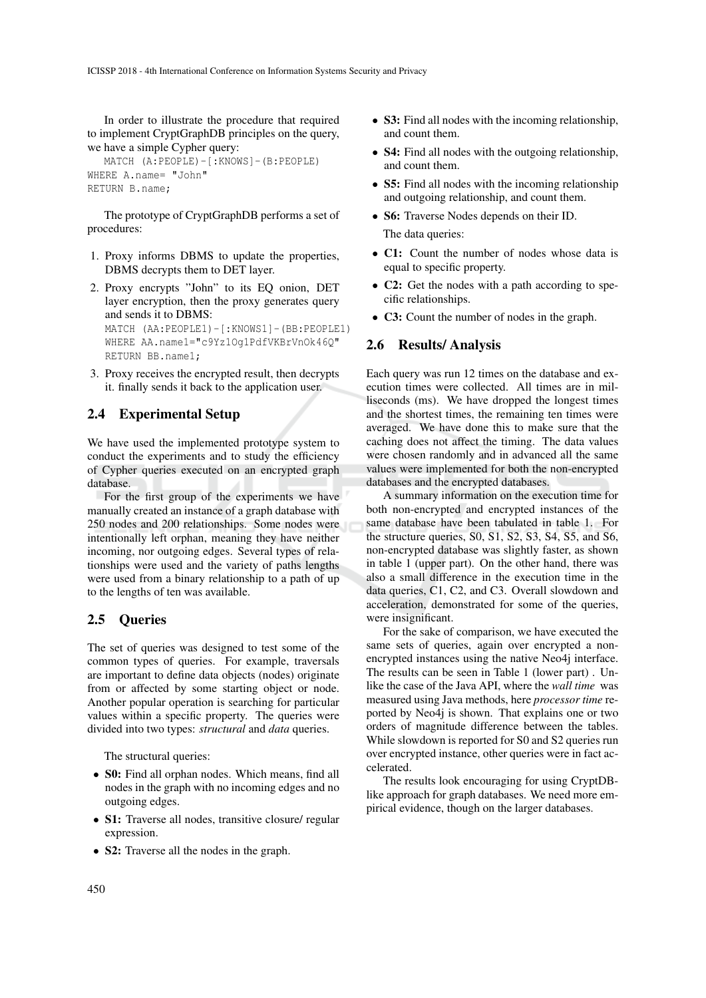In order to illustrate the procedure that required to implement CryptGraphDB principles on the query, we have a simple Cypher query:

```
MATCH (A:PEOPLE)-[:KNOWS]-(B:PEOPLE)
WHERE A.name= "John"
RETURN B.name;
```
The prototype of CryptGraphDB performs a set of procedures:

- 1. Proxy informs DBMS to update the properties, DBMS decrypts them to DET layer.
- 2. Proxy encrypts "John" to its EQ onion, DET layer encryption, then the proxy generates query and sends it to DBMS: MATCH (AA:PEOPLE1)-[:KNOWS1]-(BB:PEOPLE1) WHERE AA.name1="c9Yz1Og1PdfVKBrVnOk46Q" RETURN BB.name1;
- 3. Proxy receives the encrypted result, then decrypts it. finally sends it back to the application user.

# 2.4 Experimental Setup

We have used the implemented prototype system to conduct the experiments and to study the efficiency of Cypher queries executed on an encrypted graph database.

For the first group of the experiments we have manually created an instance of a graph database with 250 nodes and 200 relationships. Some nodes were intentionally left orphan, meaning they have neither incoming, nor outgoing edges. Several types of relationships were used and the variety of paths lengths were used from a binary relationship to a path of up to the lengths of ten was available.

## 2.5 Queries

The set of queries was designed to test some of the common types of queries. For example, traversals are important to define data objects (nodes) originate from or affected by some starting object or node. Another popular operation is searching for particular values within a specific property. The queries were divided into two types: *structural* and *data* queries.

The structural queries:

- S0: Find all orphan nodes. Which means, find all nodes in the graph with no incoming edges and no outgoing edges.
- S1: Traverse all nodes, transitive closure/ regular expression.
- S2: Traverse all the nodes in the graph.
- S3: Find all nodes with the incoming relationship, and count them.
- **S4:** Find all nodes with the outgoing relationship, and count them.
- S5: Find all nodes with the incoming relationship and outgoing relationship, and count them.
- **S6:** Traverse Nodes depends on their ID.

The data queries:

- C1: Count the number of nodes whose data is equal to specific property.
- **C2:** Get the nodes with a path according to specific relationships.
- C3: Count the number of nodes in the graph.

## 2.6 Results/ Analysis

Each query was run 12 times on the database and execution times were collected. All times are in milliseconds (ms). We have dropped the longest times and the shortest times, the remaining ten times were averaged. We have done this to make sure that the caching does not affect the timing. The data values were chosen randomly and in advanced all the same values were implemented for both the non-encrypted databases and the encrypted databases.

A summary information on the execution time for both non-encrypted and encrypted instances of the same database have been tabulated in table 1. For the structure queries, S0, S1, S2, S3, S4, S5, and S6, non-encrypted database was slightly faster, as shown in table 1 (upper part). On the other hand, there was also a small difference in the execution time in the data queries, C1, C2, and C3. Overall slowdown and acceleration, demonstrated for some of the queries, were insignificant.

For the sake of comparison, we have executed the same sets of queries, again over encrypted a nonencrypted instances using the native Neo4j interface. The results can be seen in Table 1 (lower part) . Unlike the case of the Java API, where the *wall time* was measured using Java methods, here *processor time* reported by Neo4j is shown. That explains one or two orders of magnitude difference between the tables. While slowdown is reported for S0 and S2 queries run over encrypted instance, other queries were in fact accelerated.

The results look encouraging for using CryptDBlike approach for graph databases. We need more empirical evidence, though on the larger databases.